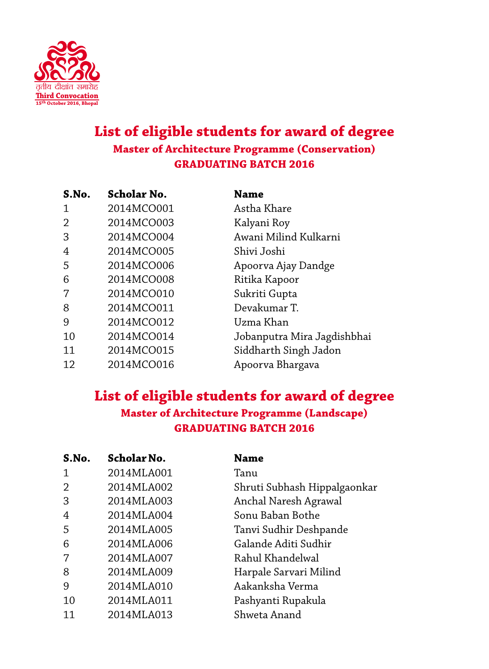

## **List of eligible students for award of degree Master of Architecture Programme (Conservation) GRADUATING BATCH 2016**

| S.No.         | Scholar No. | Name                        |
|---------------|-------------|-----------------------------|
| 1             | 2014MCO001  | Astha Khare                 |
| $\mathcal{D}$ | 2014MCO003  | Kalyani Roy                 |
| 3             | 2014MCO004  | Awani Milind Kulkarni       |
| 4             | 2014MCO005  | Shivi Joshi                 |
| 5             | 2014MCO006  | Apoorva Ajay Dandge         |
| 6             | 2014MCO008  | Ritika Kapoor               |
| 7             | 2014MCO010  | Sukriti Gupta               |
| 8             | 2014MCO011  | Devakumar T.                |
| 9             | 2014MCO012  | Uzma Khan                   |
| 10            | 2014MCO014  | Jobanputra Mira Jagdishbhai |
| 11            | 2014MCO015  | Siddharth Singh Jadon       |
| 12            | 2014MCO016  | Apoorva Bhargava            |

## **List of eligible students for award of degree Master of Architecture Programme (Landscape) GRADUATING BATCH 2016**

| S.No.         | <b>Scholar No.</b> | <b>Name</b>                  |
|---------------|--------------------|------------------------------|
| $\mathbf 1$   | 2014MLA001         | Tanu                         |
| $\mathcal{D}$ | 2014MLA002         | Shruti Subhash Hippalgaonkar |
| 3             | 2014MLA003         | Anchal Naresh Agrawal        |
| 4             | 2014MLA004         | Sonu Baban Bothe             |
| 5             | 2014MLA005         | Tanvi Sudhir Deshpande       |
| 6             | 2014MLA006         | Galande Aditi Sudhir         |
| 7             | 2014MLA007         | Rahul Khandelwal             |
| 8             | 2014MLA009         | Harpale Sarvari Milind       |
| 9             | 2014MLA010         | Aakanksha Verma              |
| 10            | 2014MLA011         | Pashyanti Rupakula           |
| 11            | 2014MLA013         | Shweta Anand                 |